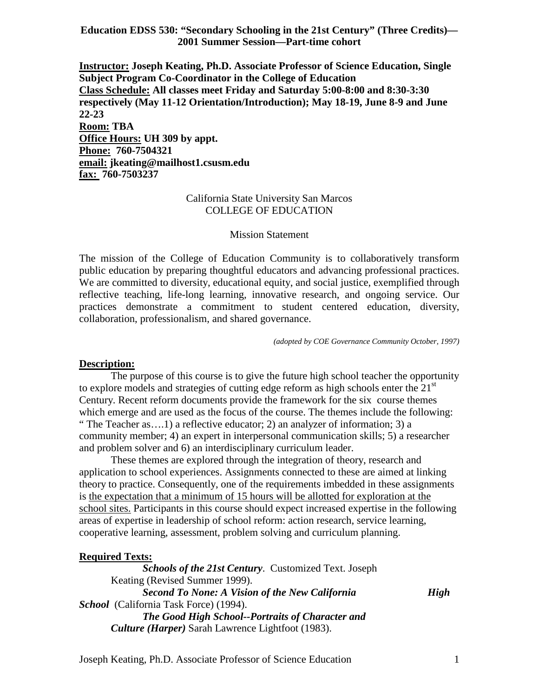**Education EDSS 530: "Secondary Schooling in the 21st Century" (Three Credits)— 2001 Summer Session—Part-time cohort**

**Instructor: Joseph Keating, Ph.D. Associate Professor of Science Education, Single Subject Program Co-Coordinator in the College of Education Class Schedule: All classes meet Friday and Saturday 5:00-8:00 and 8:30-3:30 respectively (May 11-12 Orientation/Introduction); May 18-19, June 8-9 and June 22-23 Room: TBA Office Hours: UH 309 by appt. Phone: 760-7504321 email: jkeating@mailhost1.csusm.edu fax: 760-7503237**

#### California State University San Marcos COLLEGE OF EDUCATION

#### Mission Statement

The mission of the College of Education Community is to collaboratively transform public education by preparing thoughtful educators and advancing professional practices. We are committed to diversity, educational equity, and social justice, exemplified through reflective teaching, life-long learning, innovative research, and ongoing service. Our practices demonstrate a commitment to student centered education, diversity, collaboration, professionalism, and shared governance.

*(adopted by COE Governance Community October, 1997)*

#### **Description:**

The purpose of this course is to give the future high school teacher the opportunity to explore models and strategies of cutting edge reform as high schools enter the  $21<sup>st</sup>$ Century. Recent reform documents provide the framework for the six course themes which emerge and are used as the focus of the course. The themes include the following: " The Teacher as….1) a reflective educator; 2) an analyzer of information; 3) a community member; 4) an expert in interpersonal communication skills; 5) a researcher and problem solver and 6) an interdisciplinary curriculum leader.

These themes are explored through the integration of theory, research and application to school experiences. Assignments connected to these are aimed at linking theory to practice. Consequently, one of the requirements imbedded in these assignments is the expectation that a minimum of 15 hours will be allotted for exploration at the school sites. Participants in this course should expect increased expertise in the following areas of expertise in leadership of school reform: action research, service learning, cooperative learning, assessment, problem solving and curriculum planning.

#### **Required Texts:**

*Schools of the 21st Century*. Customized Text. Joseph Keating (Revised Summer 1999). *Second To None: A Vision of the New California High School* (California Task Force) (1994). *The Good High School--Portraits of Character and Culture (Harper)* Sarah Lawrence Lightfoot (1983).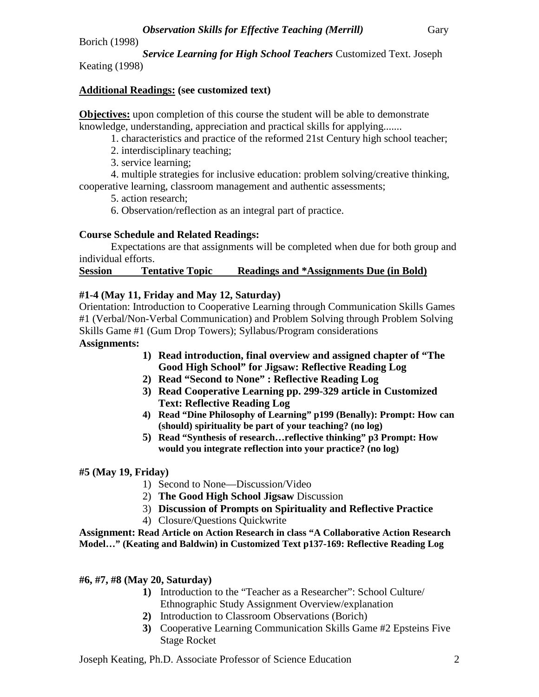Borich (1998)

*Service Learning for High School Teachers* Customized Text. Joseph Keating (1998)

# **Additional Readings: (see customized text)**

**Objectives:** upon completion of this course the student will be able to demonstrate knowledge, understanding, appreciation and practical skills for applying.......

1. characteristics and practice of the reformed 21st Century high school teacher;

2. interdisciplinary teaching;

3. service learning;

4. multiple strategies for inclusive education: problem solving/creative thinking, cooperative learning, classroom management and authentic assessments;

5. action research;

6. Observation/reflection as an integral part of practice.

# **Course Schedule and Related Readings:**

Expectations are that assignments will be completed when due for both group and individual efforts.

## **Session Tentative Topic Readings and \*Assignments Due (in Bold)**

# **#1-4 (May 11, Friday and May 12, Saturday)**

Orientation: Introduction to Cooperative Learning through Communication Skills Games #1 (Verbal/Non-Verbal Communication) and Problem Solving through Problem Solving Skills Game #1 (Gum Drop Towers); Syllabus/Program considerations **Assignments:** 

# **1) Read introduction, final overview and assigned chapter of "The Good High School" for Jigsaw: Reflective Reading Log**

- **2) Read "Second to None" : Reflective Reading Log**
- **3) Read Cooperative Learning pp. 299-329 article in Customized Text: Reflective Reading Log**
- **4) Read "Dine Philosophy of Learning" p199 (Benally): Prompt: How can (should) spirituality be part of your teaching? (no log)**
- **5) Read "Synthesis of research…reflective thinking" p3 Prompt: How would you integrate reflection into your practice? (no log)**

## **#5 (May 19, Friday)**

- 1) Second to None—Discussion/Video
- 2) **The Good High School Jigsaw** Discussion
- 3) **Discussion of Prompts on Spirituality and Reflective Practice**
- 4) Closure/Questions Quickwrite

**Assignment: Read Article on Action Research in class "A Collaborative Action Research Model…" (Keating and Baldwin) in Customized Text p137-169: Reflective Reading Log**

## **#6, #7, #8 (May 20, Saturday)**

- **1)** Introduction to the "Teacher as a Researcher": School Culture/ Ethnographic Study Assignment Overview/explanation
- **2)** Introduction to Classroom Observations (Borich)
- **3)** Cooperative Learning Communication Skills Game #2 Epsteins Five Stage Rocket

Joseph Keating, Ph.D. Associate Professor of Science Education 2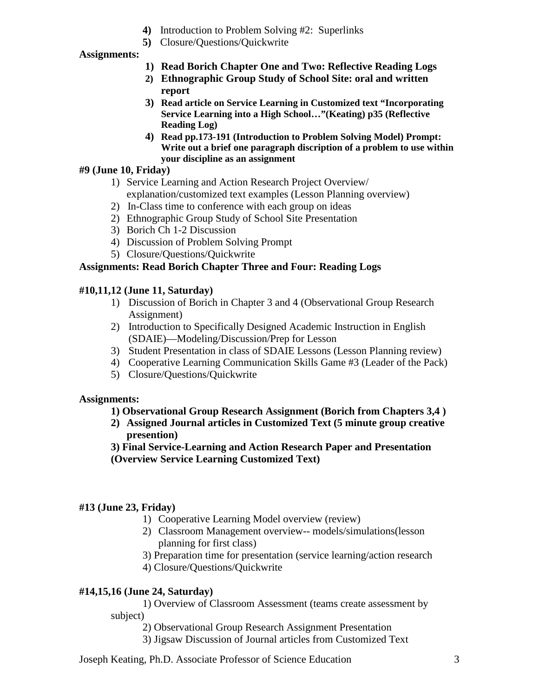- **4)** Introduction to Problem Solving #2: Superlinks
- **5)** Closure/Questions/Quickwrite

#### **Assignments:**

- **1) Read Borich Chapter One and Two: Reflective Reading Logs**
- **2) Ethnographic Group Study of School Site: oral and written report**
- **3) Read article on Service Learning in Customized text "Incorporating Service Learning into a High School…"(Keating) p35 (Reflective Reading Log)**
- **4) Read pp.173-191 (Introduction to Problem Solving Model) Prompt: Write out a brief one paragraph discription of a problem to use within your discipline as an assignment**

#### **#9 (June 10, Friday)**

- 1) Service Learning and Action Research Project Overview/ explanation/customized text examples (Lesson Planning overview)
- 2) In-Class time to conference with each group on ideas
- 2) Ethnographic Group Study of School Site Presentation
- 3) Borich Ch 1-2 Discussion
- 4) Discussion of Problem Solving Prompt
- 5) Closure/Questions/Quickwrite

#### **Assignments: Read Borich Chapter Three and Four: Reading Logs**

#### **#10,11,12 (June 11, Saturday)**

- 1) Discussion of Borich in Chapter 3 and 4 (Observational Group Research Assignment)
- 2) Introduction to Specifically Designed Academic Instruction in English (SDAIE)—Modeling/Discussion/Prep for Lesson
- 3) Student Presentation in class of SDAIE Lessons (Lesson Planning review)
- 4) Cooperative Learning Communication Skills Game #3 (Leader of the Pack)
- 5) Closure/Questions/Quickwrite

#### **Assignments:**

## **1) Observational Group Research Assignment (Borich from Chapters 3,4 )**

- **2) Assigned Journal articles in Customized Text (5 minute group creative presention)**
- **3) Final Service-Learning and Action Research Paper and Presentation (Overview Service Learning Customized Text)**

#### **#13 (June 23, Friday)**

- 1) Cooperative Learning Model overview (review)
- 2) Classroom Management overview-- models/simulations(lesson planning for first class)
- 3) Preparation time for presentation (service learning/action research
- 4) Closure/Questions/Quickwrite

## **#14,15,16 (June 24, Saturday)**

1) Overview of Classroom Assessment (teams create assessment by subject)

2) Observational Group Research Assignment Presentation

3) Jigsaw Discussion of Journal articles from Customized Text